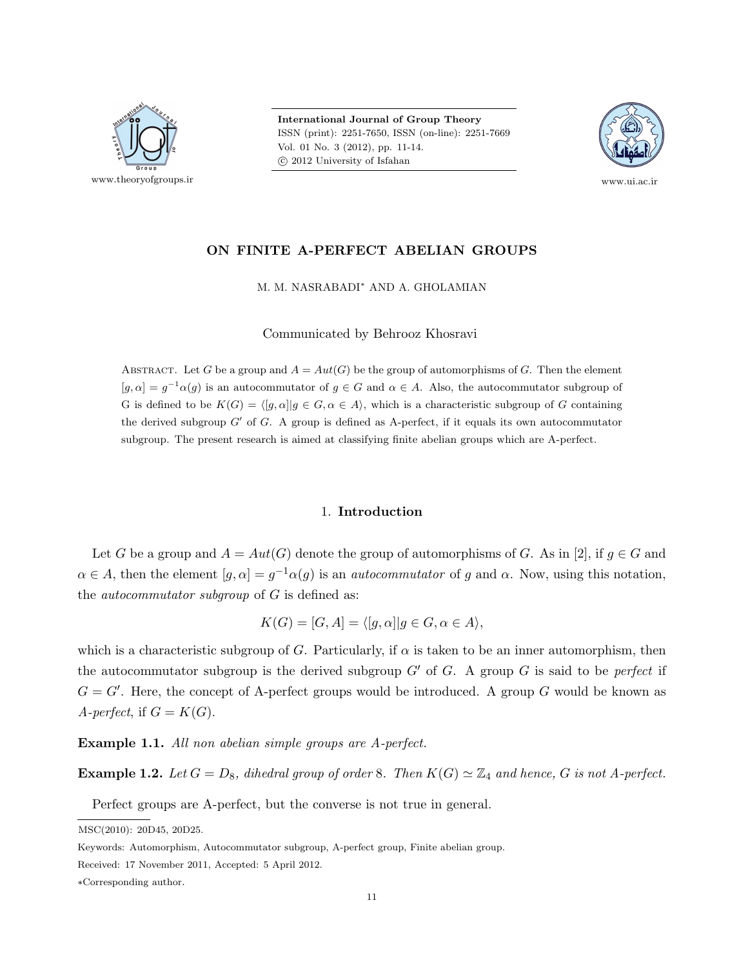

International Journal of Group Theory ISSN (print): 2251-7650, ISSN (on-line): 2251-7669 Vol. 01 No. 3 (2012), pp. 11-14. c 2012 University of Isfahan



# ON FINITE A-PERFECT ABELIAN GROUPS

M. M. NASRABADI<sup>∗</sup> AND A. GHOLAMIAN

Communicated by Behrooz Khosravi

ABSTRACT. Let G be a group and  $A = Aut(G)$  be the group of automorphisms of G. Then the element  $[g, \alpha] = g^{-1} \alpha(g)$  is an autocommutator of  $g \in G$  and  $\alpha \in A$ . Also, the autocommutator subgroup of G is defined to be  $K(G) = \langle [g, \alpha] | g \in G, \alpha \in A \rangle$ , which is a characteristic subgroup of G containing the derived subgroup  $G'$  of  $G$ . A group is defined as A-perfect, if it equals its own autocommutator subgroup. The present research is aimed at classifying finite abelian groups which are A-perfect.

## 1. Introduction

Let G be a group and  $A = Aut(G)$  denote the group of automorphisms of G. As in [2], if  $g \in G$  and  $\alpha \in A$ , then the element  $[g, \alpha] = g^{-1} \alpha(g)$  is an *autocommutator* of g and  $\alpha$ . Now, using this notation, the *autocommutator subgroup* of  $G$  is defined as:

$$
K(G) = [G, A] = \langle [g, \alpha] | g \in G, \alpha \in A \rangle,
$$

which is a characteristic subgroup of G. Particularly, if  $\alpha$  is taken to be an inner automorphism, then the autocommutator subgroup is the derived subgroup  $G'$  of G. A group G is said to be *perfect* if  $G = G'$ . Here, the concept of A-perfect groups would be introduced. A group G would be known as A-perfect, if  $G = K(G)$ .

Example 1.1. All non abelian simple groups are A-perfect.

**Example 1.2.** Let  $G = D_8$ , dihedral group of order 8. Then  $K(G) \simeq \mathbb{Z}_4$  and hence, G is not A-perfect.

Perfect groups are A-perfect, but the converse is not true in general.

MSC(2010): 20D45, 20D25.

Keywords: Automorphism, Autocommutator subgroup, A-perfect group, Finite abelian group.

Received: 17 November 2011, Accepted: 5 April 2012.

<sup>∗</sup>Corresponding author.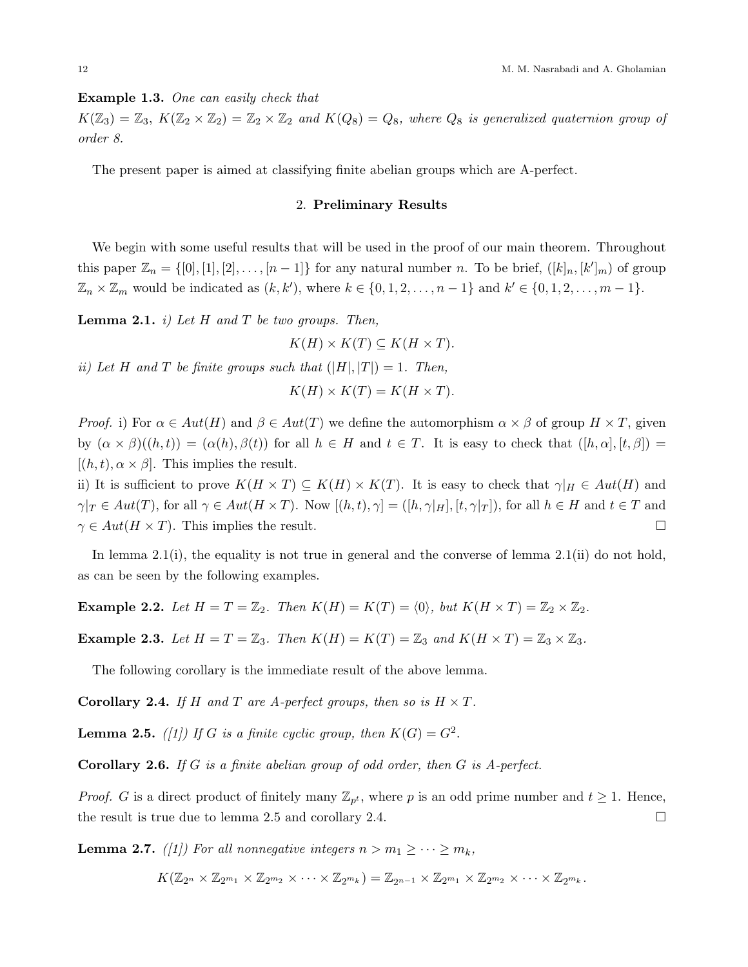Example 1.3. One can easily check that

 $K(\mathbb{Z}_3) = \mathbb{Z}_3$ ,  $K(\mathbb{Z}_2 \times \mathbb{Z}_2) = \mathbb{Z}_2 \times \mathbb{Z}_2$  and  $K(Q_8) = Q_8$ , where  $Q_8$  is generalized quaternion group of order 8.

The present paper is aimed at classifying finite abelian groups which are A-perfect.

### 2. Preliminary Results

We begin with some useful results that will be used in the proof of our main theorem. Throughout this paper  $\mathbb{Z}_n = \{ [0], [1], [2], \ldots, [n-1] \}$  for any natural number n. To be brief,  $([k]_n, [k']_m)$  of group  $\mathbb{Z}_n \times \mathbb{Z}_m$  would be indicated as  $(k, k')$ , where  $k \in \{0, 1, 2, \ldots, n-1\}$  and  $k' \in \{0, 1, 2, \ldots, m-1\}$ .

**Lemma 2.1.** *i*) Let H and T be two groups. Then,

 $K(H) \times K(T) \subseteq K(H \times T)$ .

ii) Let H and T be finite groups such that  $(|H|, |T|) = 1$ . Then,

$$
K(H) \times K(T) = K(H \times T).
$$

*Proof.* i) For  $\alpha \in Aut(H)$  and  $\beta \in Aut(T)$  we define the automorphism  $\alpha \times \beta$  of group  $H \times T$ , given by  $(\alpha \times \beta)((h,t)) = (\alpha(h), \beta(t))$  for all  $h \in H$  and  $t \in T$ . It is easy to check that  $([h,\alpha],[t,\beta]) =$  $[(h, t), \alpha \times \beta]$ . This implies the result.

ii) It is sufficient to prove  $K(H \times T) \subseteq K(H) \times K(T)$ . It is easy to check that  $\gamma|_H \in Aut(H)$  and  $\gamma|_T \in Aut(T)$ , for all  $\gamma \in Aut(H \times T)$ . Now  $[(h, t), \gamma] = ([h, \gamma|_H], [t, \gamma|_T])$ , for all  $h \in H$  and  $t \in T$  and  $\gamma \in Aut(H \times T)$ . This implies the result.

In lemma 2.1(i), the equality is not true in general and the converse of lemma 2.1(ii) do not hold, as can be seen by the following examples.

**Example 2.2.** Let  $H = T = \mathbb{Z}_2$ . Then  $K(H) = K(T) = \langle 0 \rangle$ , but  $K(H \times T) = \mathbb{Z}_2 \times \mathbb{Z}_2$ .

**Example 2.3.** Let  $H = T = \mathbb{Z}_3$ . Then  $K(H) = K(T) = \mathbb{Z}_3$  and  $K(H \times T) = \mathbb{Z}_3 \times \mathbb{Z}_3$ .

The following corollary is the immediate result of the above lemma.

**Corollary 2.4.** If H and T are A-perfect groups, then so is  $H \times T$ .

**Lemma 2.5.** ([1]) If G is a finite cyclic group, then  $K(G) = G^2$ .

**Corollary 2.6.** If G is a finite abelian group of odd order, then G is  $A$ -perfect.

*Proof.* G is a direct product of finitely many  $\mathbb{Z}_{p^t}$ , where p is an odd prime number and  $t \geq 1$ . Hence, the result is true due to lemma 2.5 and corollary 2.4.

**Lemma 2.7.** ([1]) For all nonnegative integers  $n > m_1 \geq \cdots \geq m_k$ ,

 $K(\mathbb{Z}_{2^n}\times\mathbb{Z}_{2^{m_1}}\times\mathbb{Z}_{2^{m_2}}\times\cdots\times\mathbb{Z}_{2^{m_k}})=\mathbb{Z}_{2^{n-1}}\times\mathbb{Z}_{2^{m_1}}\times\mathbb{Z}_{2^{m_2}}\times\cdots\times\mathbb{Z}_{2^{m_k}}.$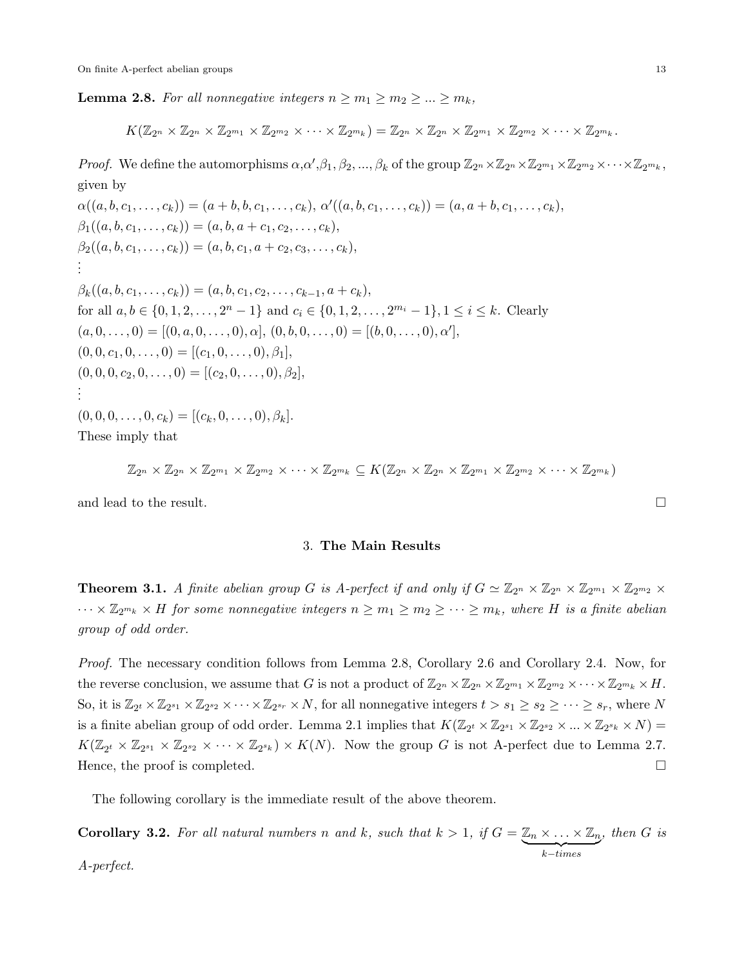**Lemma 2.8.** For all nonnegative integers  $n \geq m_1 \geq m_2 \geq ... \geq m_k$ ,

$$
K(\mathbb{Z}_{2^{n}}\times\mathbb{Z}_{2^{n}}\times\mathbb{Z}_{2^{m_1}}\times\mathbb{Z}_{2^{m_2}}\times\cdots\times\mathbb{Z}_{2^{m_k}})=\mathbb{Z}_{2^{n}}\times\mathbb{Z}_{2^{n}}\times\mathbb{Z}_{2^{m_1}}\times\mathbb{Z}_{2^{m_2}}\times\cdots\times\mathbb{Z}_{2^{m_k}}.
$$

*Proof.* We define the automorphisms  $\alpha, \alpha', \beta_1, \beta_2, ..., \beta_k$  of the group  $\mathbb{Z}_{2^n} \times \mathbb{Z}_{2^m} \times \mathbb{Z}_{2^{m_1}} \times \mathbb{Z}_{2^{m_2}} \times \cdots \times \mathbb{Z}_{2^{m_k}}$ , given by  $\overline{\mathcal{O}}$ 

$$
\alpha((a, b, c_1, \ldots, c_k)) = (a + b, b, c_1, \ldots, c_k), \alpha'((a, b, c_1, \ldots, c_k)) = (a, a + b, c_1, \ldots, c_k),
$$
  
\n
$$
\beta_1((a, b, c_1, \ldots, c_k)) = (a, b, a + c_1, c_2, \ldots, c_k),
$$
  
\n
$$
\beta_2((a, b, c_1, \ldots, c_k)) = (a, b, c_1, a + c_2, c_3, \ldots, c_k),
$$
  
\n
$$
\vdots
$$
  
\n
$$
\beta_k((a, b, c_1, \ldots, c_k)) = (a, b, c_1, c_2, \ldots, c_{k-1}, a + c_k),
$$
  
\nfor all  $a, b \in \{0, 1, 2, \ldots, 2^n - 1\}$  and  $c_i \in \{0, 1, 2, \ldots, 2^{m_i} - 1\}, 1 \le i \le k$ . Clearly  
\n
$$
(a, 0, \ldots, 0) = [(0, a, 0, \ldots, 0), \alpha], (0, b, 0, \ldots, 0) = [(b, 0, \ldots, 0), \alpha'],
$$
  
\n
$$
(0, 0, c_1, 0, \ldots, 0) = [(c_1, 0, \ldots, 0), \beta_1],
$$
  
\n
$$
(0, 0, 0, c_2, 0, \ldots, 0) = [(c_2, 0, \ldots, 0), \beta_2],
$$
  
\n
$$
\vdots
$$
  
\n
$$
(0, 0, 0, \ldots, 0, c_k) = [(c_k, 0, \ldots, 0), \beta_k].
$$
  
\nThese imply that

$$
\mathbb{Z}_{2^n}\times\mathbb{Z}_{2^m}\times\mathbb{Z}_{2^{m_1}}\times\mathbb{Z}_{2^{m_2}}\times\cdots\times\mathbb{Z}_{2^{m_k}}\subseteq K(\mathbb{Z}_{2^n}\times\mathbb{Z}_{2^n}\times\mathbb{Z}_{2^{m_1}}\times\mathbb{Z}_{2^{m_2}}\times\cdots\times\mathbb{Z}_{2^{m_k}})
$$

and lead to the result.  $\Box$ 

### 3. The Main Results

**Theorem 3.1.** A finite abelian group G is A-perfect if and only if  $G \simeq \mathbb{Z}_{2^n} \times \mathbb{Z}_{2^{n}} \times \mathbb{Z}_{2^{m_1}} \times \mathbb{Z}_{2^{m_2}} \times$  $\cdots \times \mathbb{Z}_{2^{m_k}} \times H$  for some nonnegative integers  $n \geq m_1 \geq m_2 \geq \cdots \geq m_k$ , where H is a finite abelian group of odd order.

Proof. The necessary condition follows from Lemma 2.8, Corollary 2.6 and Corollary 2.4. Now, for the reverse conclusion, we assume that G is not a product of  $\mathbb{Z}_{2^n}\times\mathbb{Z}_{2^m}\times\mathbb{Z}_{2^{m_1}}\times\mathbb{Z}_{2^{m_2}}\times\cdots\times\mathbb{Z}_{2^{m_k}}\times H$ . So, it is  $\mathbb{Z}_{2^t} \times \mathbb{Z}_{2^{s_1}} \times \mathbb{Z}_{2^{s_2}} \times \cdots \times \mathbb{Z}_{2^{s_r}} \times N$ , for all nonnegative integers  $t > s_1 \geq s_2 \geq \cdots \geq s_r$ , where N is a finite abelian group of odd order. Lemma 2.1 implies that  $K(\mathbb{Z}_{2^t} \times \mathbb{Z}_{2^{s_1}} \times \mathbb{Z}_{2^{s_2}} \times ... \times \mathbb{Z}_{2^{s_k}} \times N) =$  $K(\mathbb{Z}_{2^t} \times \mathbb{Z}_{2^{s_1}} \times \mathbb{Z}_{2^{s_2}} \times \cdots \times \mathbb{Z}_{2^{s_k}}) \times K(N)$ . Now the group G is not A-perfect due to Lemma 2.7. Hence, the proof is completed.  $\Box$ 

The following corollary is the immediate result of the above theorem.

**Corollary 3.2.** For all natural numbers n and k, such that  $k > 1$ , if  $G = \mathbb{Z}_n \times \ldots \times \mathbb{Z}_n$  $k - times$ , then G is A-perfect.